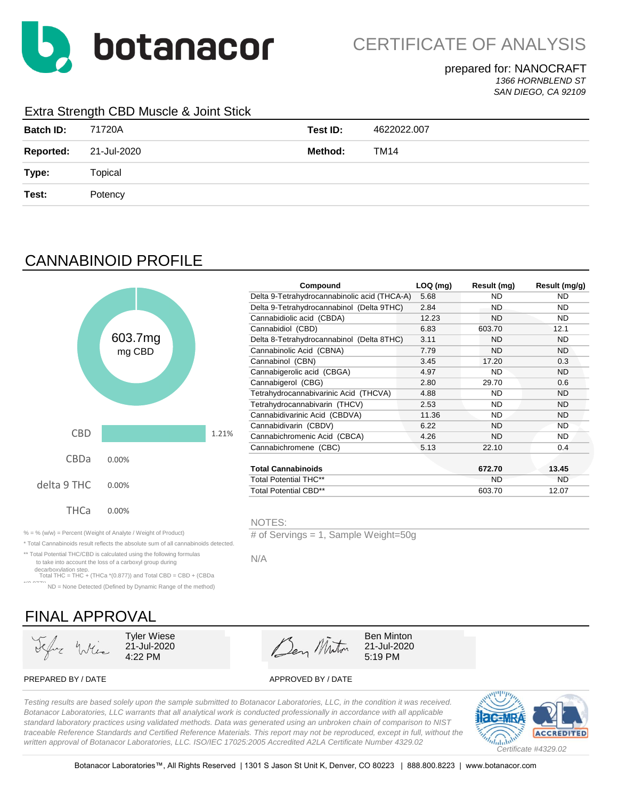

**Compound LOQ (mg) Result (mg) Result (mg/g)**

12.23 ND ND

3.45 17.20 0.3

#### prepared for: NANOCRAFT *1366 HORNBLEND ST SAN DIEGO, CA 92109*

### Extra Strength CBD Muscle & Joint Stick

| <b>Batch ID:</b> | 71720A      | Test ID: | 4622022.007 |
|------------------|-------------|----------|-------------|
| <b>Reported:</b> | 21-Jul-2020 | Method:  | TM14        |
| Type:            | Topical     |          |             |
| Test:            | Potency     |          |             |

# CANNABINOID PROFILE



|                                                                 | .                                    |  |  |
|-----------------------------------------------------------------|--------------------------------------|--|--|
| $% =$ % (w/w) = Percent (Weight of Analyte / Weight of Product) | # of Servings = 1. Sample Weight=50g |  |  |

\* Total Cannabinoids result reflects the absolute sum of all cannabinoids detected.

\*\* Total Potential THC/CBD is calculated using the following formulas to take into account the loss of a carboxyl group during

decarboxylation step. Total THC = THC + (THCa \*(0.877)) and Total CBD = CBD + (CBDa

ND = None Detected (Defined by Dynamic Range of the method)

# FINAL APPROVAL



PREPARED BY / DATE APPROVED BY / DATE

*Testing results are based solely upon the sample submitted to Botanacor Laboratories, LLC, in the condition it was received. Botanacor Laboratories, LLC warrants that all analytical work is conducted professionally in accordance with all applicable standard laboratory practices using validated methods. Data was generated using an unbroken chain of comparison to NIST traceable Reference Standards and Certified Reference Materials. This report may not be reproduced, except in full, without the written approval of Botanacor Laboratories, LLC. ISO/IEC 17025:2005 Accredited A2LA Certificate Number 4329.02*



N/A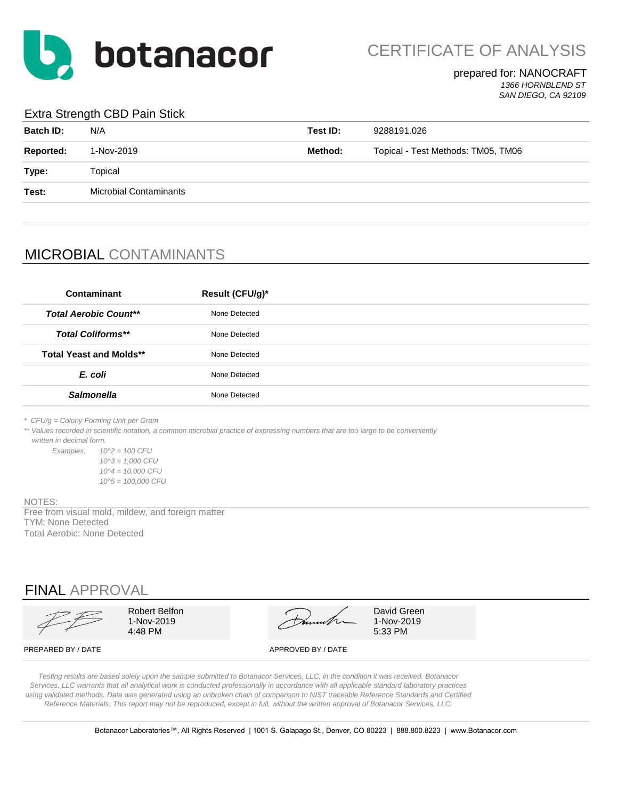

#### prepared for: NANOCRAFT *1366 HORNBLEND ST*

*SAN DIEGO, CA 92109*

### Extra Strength CBD Pain Stick

| <b>Batch ID:</b> | N/A                           | Test ID:                                      | 9288191.026 |
|------------------|-------------------------------|-----------------------------------------------|-------------|
| <b>Reported:</b> | 1-Nov-2019                    | Method:<br>Topical - Test Methods: TM05, TM06 |             |
| Type:            | Topical                       |                                               |             |
| Test:            | <b>Microbial Contaminants</b> |                                               |             |
|                  |                               |                                               |             |

## MICROBIAL CONTAMINANTS

| Contaminant                    | Result (CFU/g)* |
|--------------------------------|-----------------|
| <b>Total Aerobic Count**</b>   | None Detected   |
| <b>Total Coliforms**</b>       | None Detected   |
| <b>Total Yeast and Molds**</b> | None Detected   |
| E. coli                        | None Detected   |
| <b>Salmonella</b>              | None Detected   |
|                                |                 |

*\* CFU/g = Colony Forming Unit per Gram*

\*\* Values recorded in scientific notation, a common microbial practice of expressing numbers that are too large to be conveniently  *written in decimal form.*

*Examples: 10^2 = 100 CFU 10^3 = 1,000 CFU 10^4 = 10,000 CFU 10^5 = 100,000 CFU*

NOTES:

Free from visual mold, mildew, and foreign matter TYM: None Detected Total Aerobic: None Detected

## FINAL APPROVAL

|                    | Robert Belfon<br>l-Nov-2019<br>4:48 PM | much               | David Green<br>1-Nov-2019<br>5:33 PM |
|--------------------|----------------------------------------|--------------------|--------------------------------------|
| PREPARED BY / DATE |                                        | APPROVED BY / DATE |                                      |

*Testing results are based solely upon the sample submitted to Botanacor Services, LLC, in the condition it was received. Botanacor Services, LLC warrants that all analytical work is conducted professionally in accordance with all applicable standard laboratory practices using validated methods. Data was generated using an unbroken chain of comparison to NIST traceable Reference Standards and Certified Reference Materials. This report may not be reproduced, except in full, without the written approval of Botanacor Services, LLC.*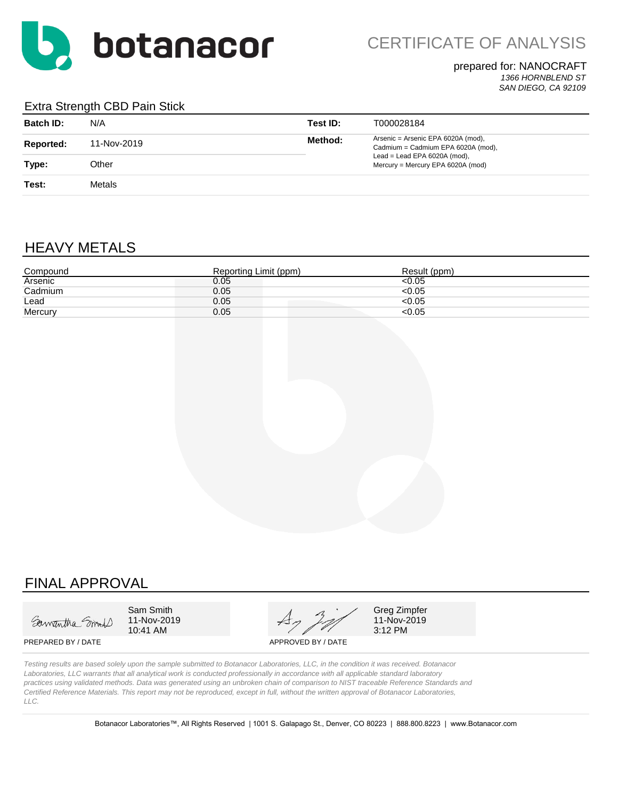

### prepared for: NANOCRAFT

*1366 HORNBLEND ST SAN DIEGO, CA 92109*

#### Extra Strength CBD Pain Stick

| <b>Batch ID:</b> | N/A         | Test ID: | T000028184                                                               |
|------------------|-------------|----------|--------------------------------------------------------------------------|
| Reported:        | 11-Nov-2019 | Method:  | Arsenic = Arsenic EPA 6020A (mod),<br>Cadmium = Cadmium EPA 6020A (mod), |
| Type:            | Other       |          | Lead = Lead EPA $6020A$ (mod),<br>Mercury = Mercury EPA 6020A (mod)      |
| Test:            | Metals      |          |                                                                          |

## HEAVY METALS

| Compound | Reporting Limit (ppm) | Result (ppm) |
|----------|-----------------------|--------------|
| Arsenic  | 0.05                  | 50.05        |
| Cadmium  | 0.05                  | < 0.05       |
| Lead     | 0.05                  | <0.05        |
| Mercury  | 0.05                  | <0.05        |

### FINAL APPROVAL

Samantha Smith

10:41 AM

Sam Smith  $\mathcal{A}$   $\mathcal{A}$   $\mathcal{A}$  Greg Zimpfer 11-Nov-2019  $47/2019$  11-Nov-2019 10:41 AM

PREPARED BY / DATE APPROVED BY / DATE

*Testing results are based solely upon the sample submitted to Botanacor Laboratories, LLC, in the condition it was received. Botanacor Laboratories, LLC warrants that all analytical work is conducted professionally in accordance with all applicable standard laboratory practices using validated methods. Data was generated using an unbroken chain of comparison to NIST traceable Reference Standards and Certified Reference Materials. This report may not be reproduced, except in full, without the written approval of Botanacor Laboratories, LLC.*